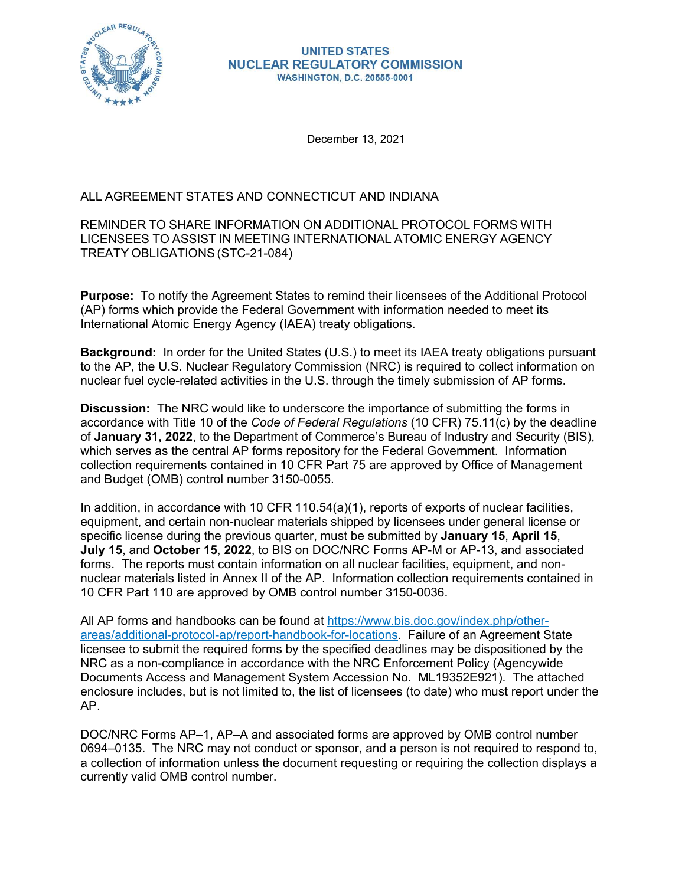

### **UNITED STATES NUCLEAR REGULATORY COMMISSION WASHINGTON, D.C. 20555-0001**

December 13, 2021

## ALL AGREEMENT STATES AND CONNECTICUT AND INDIANA

## REMINDER TO SHARE INFORMATION ON ADDITIONAL PROTOCOL FORMS WITH LICENSEES TO ASSIST IN MEETING INTERNATIONAL ATOMIC ENERGY AGENCY TREATY OBLIGATIONS (STC-21-084)

Purpose: To notify the Agreement States to remind their licensees of the Additional Protocol (AP) forms which provide the Federal Government with information needed to meet its International Atomic Energy Agency (IAEA) treaty obligations.

Background: In order for the United States (U.S.) to meet its IAEA treaty obligations pursuant to the AP, the U.S. Nuclear Regulatory Commission (NRC) is required to collect information on nuclear fuel cycle-related activities in the U.S. through the timely submission of AP forms.

Discussion: The NRC would like to underscore the importance of submitting the forms in accordance with Title 10 of the Code of Federal Regulations (10 CFR) 75.11(c) by the deadline of January 31, 2022, to the Department of Commerce's Bureau of Industry and Security (BIS), which serves as the central AP forms repository for the Federal Government. Information collection requirements contained in 10 CFR Part 75 are approved by Office of Management and Budget (OMB) control number 3150-0055.

In addition, in accordance with 10 CFR 110.54(a)(1), reports of exports of nuclear facilities, equipment, and certain non-nuclear materials shipped by licensees under general license or specific license during the previous quarter, must be submitted by January 15, April 15, July 15, and October 15, 2022, to BIS on DOC/NRC Forms AP-M or AP-13, and associated forms. The reports must contain information on all nuclear facilities, equipment, and nonnuclear materials listed in Annex II of the AP. Information collection requirements contained in 10 CFR Part 110 are approved by OMB control number 3150-0036. to the AP, the U.S. Nuclear Regulatory Commission (NRC) is required to collect information on<br>nuclear fuel cycle-related activities in the U.S. through the timely submission of AP forms.<br>Discussion: The NRC would like to u

All AP forms and handbooks can be found at https://www.bis.doc.gov/index.php/otherareas/additional-protocol-ap/report-handbook-for-locations. Failure of an Agreement State<br>licensee to submit the required forms by the specified deadlines may be dispositioned by the NRC as a non-compliance in accordance with the NRC Enforcement Policy (Agencywide Documents Access and Management System Accession No. ML19352E921). The attached enclosure includes, but is not limited to, the list of licensees (to date) who must report under the AP.

DOC/NRC Forms AP–1, AP–A and associated forms are approved by OMB control number 0694–0135. The NRC may not conduct or sponsor, and a person is not required to respond to, a collection of information unless the document requesting or requiring the collection displays a currently valid OMB control number.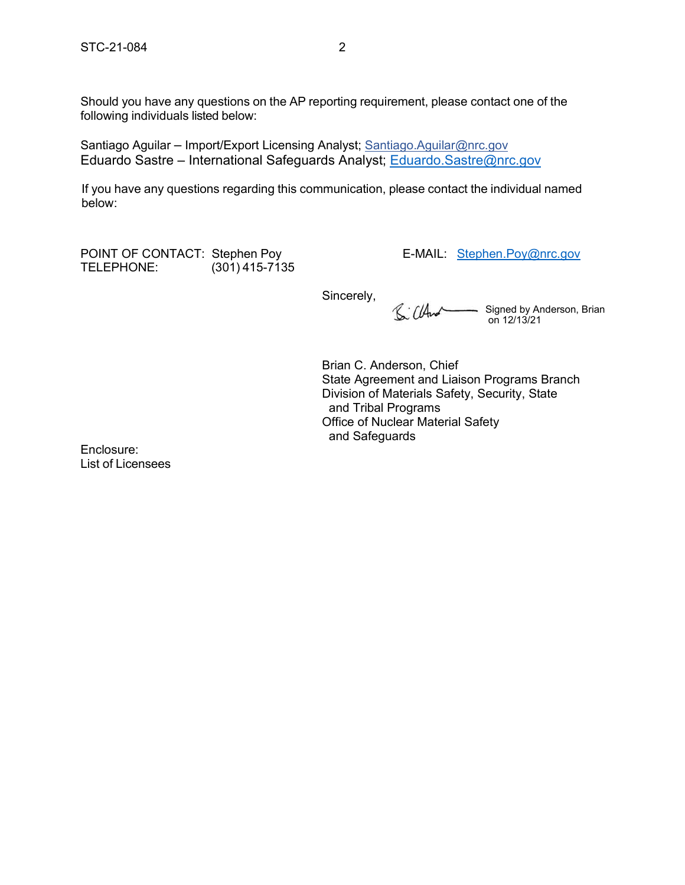STC-21-084<br>2<br>Should you have any questions on the AP reporting requirement, please contact one of the<br>following individuals listed below: Should you have any questions on the AP reporting requirement, please contact one of the following individuals listed below:

Santiago Aguilar – Import/Export Licensing Analyst; Santiago.Aguilar@nrc.gov Eduardo Sastre – International Safeguards Analyst; Eduardo.Sastre@nrc.gov

If you have any questions regarding this communication, please contact the individual named below: STC-21-084<br>
POINT OF C-21-084<br>
POINT OF C-21-084<br>
Santiago Aguilar — Import/Export Licensing Analyst; <u>Santiago Aguilar@nrc.gov</u><br>
Eduardo Sastre — International Safeguards Analyst; <u>Eduardo Sastre@nrc.gov</u><br>
If you have an

TELEPHONE: (301) 415-7135

Sincerely,  $\mathbb{S}$   $(\mathbb{A}^{\mathcal{A}})$ Signed by Anderson, Brian on 12/13/21

Brian C. Anderson, Chief State Agreement and Liaison Programs Branch Division of Materials Safety, Security, State and Tribal Programs Office of Nuclear Material Safety and Safeguards

Enclosure: List of Licensees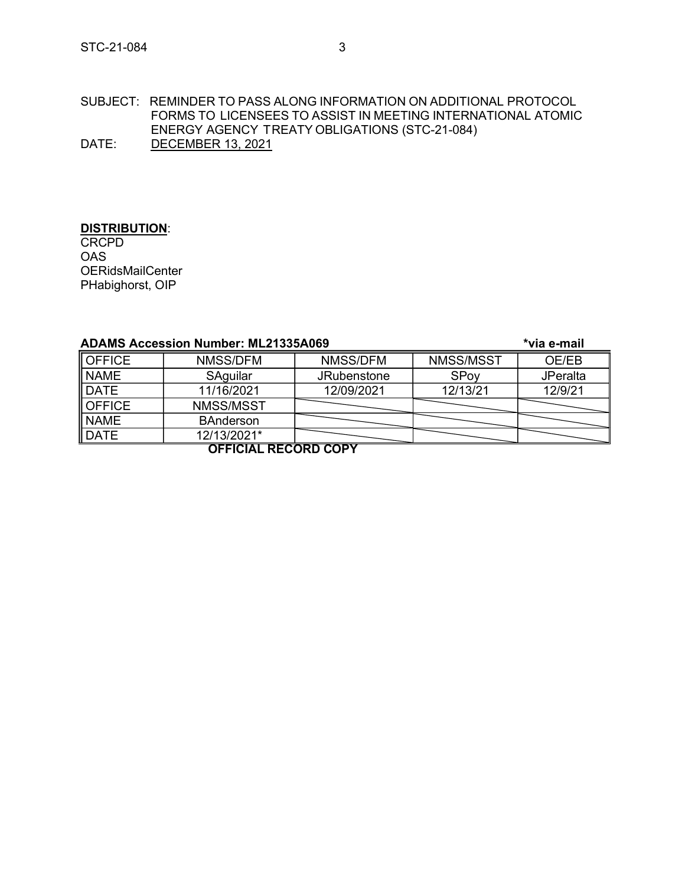# STC-21-084<br>SUBJECT: REMINDER TO PASS ALONG INFORMATION ON ADDITIONAL PROTOCOL<br>FORMS TO LICENSEES TO ASSIST IN MEETING INTERNATIONAL ATOMIC SUBJECT: REMINDER TO PASS ALONG INFORMATION ON ADDITIONAL PROTOCOL FORMS TO LICENSEES TO ASSIST IN MEETING INTERNATIONAL ATOMIC ENERGY AGENCY TREATY OBLIGATIONS (STC-21-084) DATE: DECEMBER 13, 2021

# **DISTRIBUTION:**

| SUBJECT: REMINDER TO PASS ALONG INFORMATION ON ADDITIONAL PROTOCOL<br>FORMS TO LICENSEES TO ASSIST IN MEETING INTERNATIONAL ATOMIC<br>ENERGY AGENCY TREATY OBLIGATIONS (STC-21-084)<br>DATE:<br><b>DECEMBER 13, 2021</b><br>DISTRIBUTION:<br><b>CRCPD</b><br><b>OAS</b><br><b>OERidsMailCenter</b><br>PHabighorst, OIP<br><b>ADAMS Accession Number: ML21335A069</b><br>*via e-mail<br><b>OFFICE</b><br>NMSS/DFM<br>NMSS/MSST<br>OE/EB<br>NMSS/DFM<br>NAME<br>SAguilar<br><b>JRubenstone</b><br>SPoy<br><b>JPeralta</b><br>DATE<br>11/16/2021<br>12/09/2021<br>12/13/21<br>12/9/21<br><b>OFFICE</b><br>NMSS/MSST<br><b>NAME</b><br><b>BAnderson</b><br>DATE<br>12/13/2021*<br><b>OFFICIAL RECORD COPY</b> |  |  |  |  |  |  |
|-----------------------------------------------------------------------------------------------------------------------------------------------------------------------------------------------------------------------------------------------------------------------------------------------------------------------------------------------------------------------------------------------------------------------------------------------------------------------------------------------------------------------------------------------------------------------------------------------------------------------------------------------------------------------------------------------------------|--|--|--|--|--|--|
|                                                                                                                                                                                                                                                                                                                                                                                                                                                                                                                                                                                                                                                                                                           |  |  |  |  |  |  |
|                                                                                                                                                                                                                                                                                                                                                                                                                                                                                                                                                                                                                                                                                                           |  |  |  |  |  |  |
|                                                                                                                                                                                                                                                                                                                                                                                                                                                                                                                                                                                                                                                                                                           |  |  |  |  |  |  |
|                                                                                                                                                                                                                                                                                                                                                                                                                                                                                                                                                                                                                                                                                                           |  |  |  |  |  |  |
|                                                                                                                                                                                                                                                                                                                                                                                                                                                                                                                                                                                                                                                                                                           |  |  |  |  |  |  |
|                                                                                                                                                                                                                                                                                                                                                                                                                                                                                                                                                                                                                                                                                                           |  |  |  |  |  |  |
|                                                                                                                                                                                                                                                                                                                                                                                                                                                                                                                                                                                                                                                                                                           |  |  |  |  |  |  |
|                                                                                                                                                                                                                                                                                                                                                                                                                                                                                                                                                                                                                                                                                                           |  |  |  |  |  |  |
|                                                                                                                                                                                                                                                                                                                                                                                                                                                                                                                                                                                                                                                                                                           |  |  |  |  |  |  |
|                                                                                                                                                                                                                                                                                                                                                                                                                                                                                                                                                                                                                                                                                                           |  |  |  |  |  |  |
|                                                                                                                                                                                                                                                                                                                                                                                                                                                                                                                                                                                                                                                                                                           |  |  |  |  |  |  |
|                                                                                                                                                                                                                                                                                                                                                                                                                                                                                                                                                                                                                                                                                                           |  |  |  |  |  |  |
|                                                                                                                                                                                                                                                                                                                                                                                                                                                                                                                                                                                                                                                                                                           |  |  |  |  |  |  |
|                                                                                                                                                                                                                                                                                                                                                                                                                                                                                                                                                                                                                                                                                                           |  |  |  |  |  |  |
|                                                                                                                                                                                                                                                                                                                                                                                                                                                                                                                                                                                                                                                                                                           |  |  |  |  |  |  |
|                                                                                                                                                                                                                                                                                                                                                                                                                                                                                                                                                                                                                                                                                                           |  |  |  |  |  |  |
|                                                                                                                                                                                                                                                                                                                                                                                                                                                                                                                                                                                                                                                                                                           |  |  |  |  |  |  |
|                                                                                                                                                                                                                                                                                                                                                                                                                                                                                                                                                                                                                                                                                                           |  |  |  |  |  |  |
|                                                                                                                                                                                                                                                                                                                                                                                                                                                                                                                                                                                                                                                                                                           |  |  |  |  |  |  |
|                                                                                                                                                                                                                                                                                                                                                                                                                                                                                                                                                                                                                                                                                                           |  |  |  |  |  |  |
|                                                                                                                                                                                                                                                                                                                                                                                                                                                                                                                                                                                                                                                                                                           |  |  |  |  |  |  |
|                                                                                                                                                                                                                                                                                                                                                                                                                                                                                                                                                                                                                                                                                                           |  |  |  |  |  |  |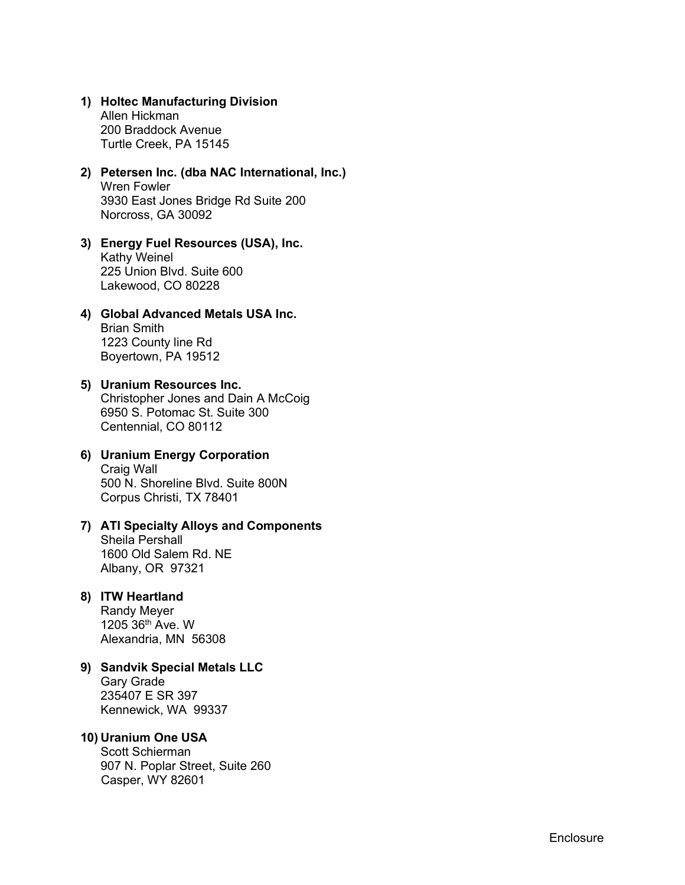1) Holtec Manufacturing Division<br>Allen Hickman<br>200 Braddock Avenue<br>Turtle Creek, PA 15145<br>2) Petersen Inc. (dba NAC International Inc.) Allen Hickman 200 Braddock Avenue Turtle Creek, PA 15145

- 1) Holtec Manufacturing Division<br>
Allen Hickman<br>
200 Braddock Avenue<br>
Turtle Creek, PA 15145<br>
2) Petersen Inc. (dba NAC International, Inc.)<br>
Wren Fowler<br>
3930 East Jones Bridge Rd Suite 200<br>
Norcross, GA 30092<br>
3) Fnergy Wren Fowler 3930 East Jones Bridge Rd Suite 200 Norcross, GA 30092 1) Holtec Manufacturing Division<br>
Allen Hickman<br>
200 Braddock Avenue<br>
Turtle Creek, PA 15145<br>
2) Petersen Inc. (dba NAC International, Inc.)<br>
Wren Fowler<br>
3930 East Jones Bridge Rd Suite 200<br>
Norcross, GA 30092<br>
3) Energy 1) Holtec Manufacturing Division<br>
Allen Hickman<br>
200 Braddock Avenue<br>
Turtle Creek, PA 15145<br>
2) Petersen Inc. (dba NAC International, Inc.)<br>
Wern Fowler<br>
3930 East Jones Bridge Rd Suite 200<br>
Norcross, GA 30092<br>
3) Energy 1) Holtec Manufacturing Division<br>
Allen Hickman<br>
200 Braddock Avenue<br>
Turtle Creek, PA 15145<br>
2) Petersen Inc. (dba NAC International, Inc.)<br>
Wren Fowler<br>
3930 East Jones Bridge Rd Suite 200<br>
Norcross, GA 30092<br>
3) Energy 2) Petersen Inc. (dba NAC International, Inc.)<br>
Were Fowler<br>
3930 East Jones Bridge Rd Suite 200<br>
Norcross, GA 30092<br>
3) Energy Fuel Resources (USA), Inc.<br>
Kathy Weinel<br>
225 Union Blvd. Suite 600<br>
Lakewood, CO 80228<br>
4) Gl
- Kathy Weinel 225 Union Blvd. Suite 600 Lakewood, CO 80228
- Brian Smith 1223 County line Rd Boyertown, PA 19512
- Christopher Jones and Dain A McCoig 6950 S. Potomac St. Suite 300 Centennial, CO 80112 3) Energy Fuel Resources (USA), Inc.<br>
Xalty Weinel<br>
225 Union Blvd. Suite 600<br>
Lakewood, CO 80228<br>
4) Global Advanced Metals USA Inc.<br>
Brian Smith<br>
1223 County line Rd<br>
Boyertown, PA 19512<br>
5) Uranium Resources Inc.<br>
Chris 4) Global Advanced Metals USA Inc.<br>
Brian Smith<br>
1223 County line Rd<br>
Boyertown, PA 19512<br>
5) Uranium Resources Inc.<br>
Christopher Jones and Dain A McCoig<br>
6950 S. Potomac St. Suite 300<br>
Centennial, CO 80112<br>
6) Uranium Ene 5) Uranium Resources Inc.<br>
Christopher Jones and Dain A McCoig<br>
6950 S. Potomac St. Suite 300<br>
Centennial, CO 80112<br>
6) Uranium Energy Corporation<br>
Craig Wall<br>
500 N. Shoreline Blvd. Suite 800N<br>
Corpus Christi, TX 78401<br>
7
- Craig Wall 500 N. Shoreline Blvd. Suite 800N Corpus Christi, TX 78401
- Sheila Pershall 1600 Old Salem Rd. NE Albany, OR 97321 6) Uranium Energy Corporation<br>
Craig Wall<br>
500 N. Shoreline Blvd. Suite 800N<br>
Corpus Christi, TX 78401<br> **7) ATI Specialty Alloys and Components**<br>
Sheila Pershall<br>
1600 Old Salem Rd. NE<br>
Albany, OR 97321<br>
8) ITW Heartland<br>

Randy Meyer 1205 36th Ave. W Alexandria, MN 56308

Gary Grade

235407 E SR 397 Kennewick, WA 99337

Scott Schierman 907 N. Poplar Street, Suite 260 Casper, WY 82601